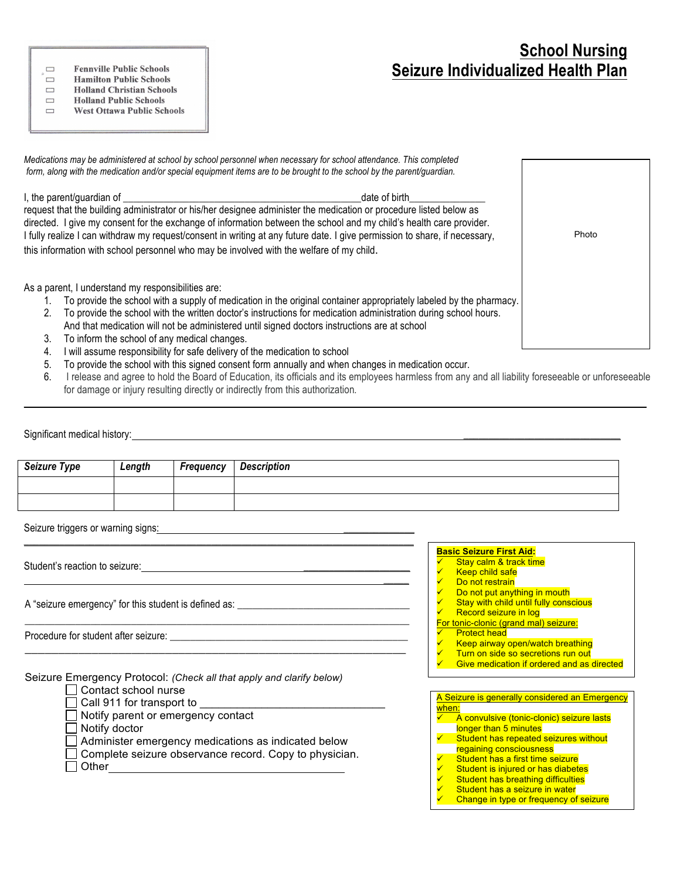## **School Nursing Seizure Individualized Health Plan**

**Fennville Public Schools**  $\Box$ 

 $\Box$ **Hamilton Public Schools** 

**Holland Christian Schools**  $\Box$ **Holland Public Schools**  $\Box$ 

 $\qquad \qquad \Box$ **West Ottawa Public Schools** 

*Medications may be administered at school by school personnel when necessary for school attendance. This completed form, along with the medication and/or special equipment items are to be brought to the school by the parent/guardian.*

I, the parent/guardian of \_\_\_\_\_\_\_\_\_\_\_\_\_\_\_\_\_\_\_\_\_\_\_\_\_\_\_\_\_\_\_\_\_\_\_\_\_\_\_\_\_\_\_\_\_\_\_date of birth\_\_\_\_\_\_\_\_\_\_\_\_\_\_\_

request that the building administrator or his/her designee administer the medication or procedure listed below as directed. I give my consent for the exchange of information between the school and my child's health care provider. I fully realize I can withdraw my request/consent in writing at any future date. I give permission to share, if necessary, this information with school personnel who may be involved with the welfare of my child.

As a parent, I understand my responsibilities are:

- 1. To provide the school with a supply of medication in the original container appropriately labeled by the pharmacy.
- 2. To provide the school with the written doctor's instructions for medication administration during school hours.
- And that medication will not be administered until signed doctors instructions are at school
- 3. To inform the school of any medical changes.
- 4. I will assume responsibility for safe delivery of the medication to school
- 5. To provide the school with this signed consent form annually and when changes in medication occur.
- 6. I release and agree to hold the Board of Education, its officials and its employees harmless from any and all liability foreseeable or unforeseeable for damage or injury resulting directly or indirectly from this authorization*.*

 $\mathcal{L}_\mathcal{L} = \mathcal{L}_\mathcal{L} = \mathcal{L}_\mathcal{L} = \mathcal{L}_\mathcal{L} = \mathcal{L}_\mathcal{L} = \mathcal{L}_\mathcal{L} = \mathcal{L}_\mathcal{L} = \mathcal{L}_\mathcal{L} = \mathcal{L}_\mathcal{L} = \mathcal{L}_\mathcal{L} = \mathcal{L}_\mathcal{L} = \mathcal{L}_\mathcal{L} = \mathcal{L}_\mathcal{L} = \mathcal{L}_\mathcal{L} = \mathcal{L}_\mathcal{L} = \mathcal{L}_\mathcal{L} = \mathcal{L}_\mathcal{L}$ 

| Significant medical history: |  |
|------------------------------|--|
|                              |  |

| <b>Seizure Type</b>                | Length               | Frequency                                                                                                                               | <b>Description</b>                                                                                                                                                                                                                                                                                                                                                                                                                                                                                                         |
|------------------------------------|----------------------|-----------------------------------------------------------------------------------------------------------------------------------------|----------------------------------------------------------------------------------------------------------------------------------------------------------------------------------------------------------------------------------------------------------------------------------------------------------------------------------------------------------------------------------------------------------------------------------------------------------------------------------------------------------------------------|
|                                    |                      |                                                                                                                                         |                                                                                                                                                                                                                                                                                                                                                                                                                                                                                                                            |
| Seizure triggers or warning signs: |                      |                                                                                                                                         | <u> 1980 - Jan Samuel Barbara, martin da shekara tsara 1980 - Andrea Samuel Barbara, mashrida a shekara tsara 19</u>                                                                                                                                                                                                                                                                                                                                                                                                       |
|                                    |                      |                                                                                                                                         | <b>Basic Seizure First Aid:</b><br>Stay calm & track time<br><b>Keep child safe</b><br>Do not restrain                                                                                                                                                                                                                                                                                                                                                                                                                     |
|                                    |                      | Do not put anything in mouth<br>Stay with child until fully conscious<br>Record seizure in log<br>For tonic-clonic (grand mal) seizure: |                                                                                                                                                                                                                                                                                                                                                                                                                                                                                                                            |
|                                    |                      |                                                                                                                                         | <b>Protect head</b><br>Keep airway open/watch breathing<br>✓<br>Turn on side so secretions run out<br>Give medication if ordered and as directed                                                                                                                                                                                                                                                                                                                                                                           |
|                                    | Contact school nurse |                                                                                                                                         | Seizure Emergency Protocol: (Check all that apply and clarify below)<br>A Seizure is generally considered an Emergency                                                                                                                                                                                                                                                                                                                                                                                                     |
|                                    | Notify doctor        | Call 911 for transport to ___________<br>Notify parent or emergency contact                                                             | when:<br>A convulsive (tonic-clonic) seizure lasts<br>longer than 5 minutes<br>Student has repeated seizures without<br>$\checkmark$ .<br>Administer emergency medications as indicated below<br>regaining consciousness<br>Complete seizure observance record. Copy to physician.<br>Student has a first time seizure<br>Other <u>___________________________</u><br>Student is injured or has diabetes<br>Student has breathing difficulties<br>Student has a seizure in water<br>Change in type or frequency of seizure |